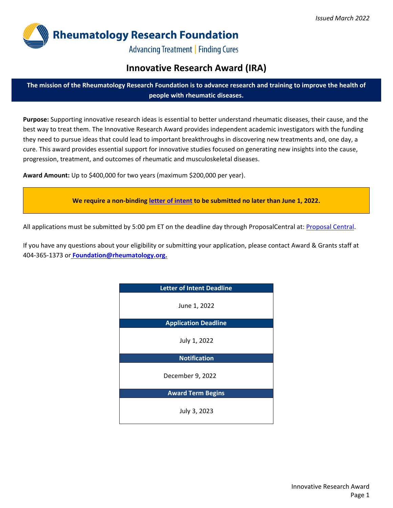

**Advancing Treatment | Finding Cures** 

# **Innovative Research Award (IRA)**

**The mission of the Rheumatology Research Foundation is to advance research and training to improve the health of people with rheumatic diseases.**

**Purpose:** Supporting innovative research ideas is essential to better understand rheumatic diseases, their cause, and the best way to treat them. The Innovative Research Award provides independent academic investigators with the funding they need to pursue ideas that could lead to important breakthroughs in discovering new treatments and, one day, a cure. This award provides essential support for innovative studies focused on generating new insights into the cause, progression, treatment, and outcomes of rheumatic and musculoskeletal diseases.

**Award Amount:** Up to \$400,000 for two years (maximum \$200,000 per year).

**We require a non-binding [letter of intent](https://proposalcentral.com/) to be submitted no later than June 1, 2022.**

All applications must be submitted by 5:00 pm ET on the deadline day through ProposalCentral at: [Proposal Central.](https://proposalcentral.com/)

If you have any questions about your eligibility or submitting your application, please contact Award & Grants staff at 404-365-1373 or **[Foundation@rheumatology.org.](mailto:Foundation@rheumatology.org)**

| <b>Letter of Intent Deadline</b> |  |  |  |
|----------------------------------|--|--|--|
| June 1, 2022                     |  |  |  |
| <b>Application Deadline</b>      |  |  |  |
| July 1, 2022                     |  |  |  |
| <b>Notification</b>              |  |  |  |
| December 9, 2022                 |  |  |  |
| <b>Award Term Begins</b>         |  |  |  |
| July 3, 2023                     |  |  |  |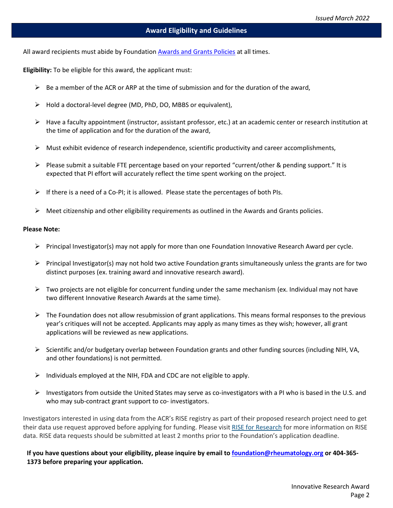All award recipients must abide by Foundation Awards [and Grants](https://www.rheumresearch.org/file/2022-Awards-Grants-Policies.pdf) Policies at all times.

**Eligibility:** To be eligible for this award, the applicant must:

- $\triangleright$  Be a member of the ACR or ARP at the time of submission and for the duration of the award,
- $\triangleright$  Hold a doctoral-level degree (MD, PhD, DO, MBBS or equivalent),
- $\triangleright$  Have a faculty appointment (instructor, assistant professor, etc.) at an academic center or research institution at the time of application and for the duration of the award,
- $\triangleright$  Must exhibit evidence of research independence, scientific productivity and career accomplishments,
- Please submit a suitable FTE percentage based on your reported "current/other & pending support." It is expected that PI effort will accurately reflect the time spent working on the project.
- $\triangleright$  If there is a need of a Co-PI; it is allowed. Please state the percentages of both PIs.
- $\triangleright$  Meet citizenship and other eligibility requirements as outlined in the Awards and Grants [policies.](http://www.rheumresearch.org/file/Award_Policies.pdf)

### **Please Note:**

- $\triangleright$  Principal Investigator(s) may not apply for more than one Foundation Innovative Research Award per cycle.
- $\triangleright$  Principal Investigator(s) may not hold two active Foundation grants simultaneously unless the grants are for two distinct purposes (ex. training award and innovative research award).
- $\triangleright$  Two projects are not eligible for concurrent funding under the same mechanism (ex. Individual may not have two different Innovative Research Awards at the same time).
- $\triangleright$  The Foundation does not allow resubmission of grant applications. This means formal responses to the previous year's critiques will not be accepted. Applicants may apply as many times as they wish; however, all grant applications will be reviewed as new applications.
- $\triangleright$  Scientific and/or budgetary overlap between Foundation grants and other funding sources (including NIH, VA, and other foundations) is not permitted.
- $\triangleright$  Individuals employed at the NIH, FDA and CDC are not eligible to apply.
- Investigators from outside the United States may serve as co-investigators with a PI who is based in the U.S. and who may sub-contract grant support to co- investigators.

Investigators interested in using data from the ACR's RISE registry as part of their proposed research project need to get their data use request approved before applying for funding. Please visit [RISE for Research](https://www.rheumatology.org/I-Am-A/Rheumatologist/RISE-Registry/RISE-for-Research) for more information on RISE data. RISE data requests should be submitted at least 2 months prior to the Foundation's application deadline.

**If you have questions about your eligibility, please inquire by email to [foundation@rheumatology.org](mailto:foundation@rheumatology.org) or 404-365- 1373 before preparing your application.**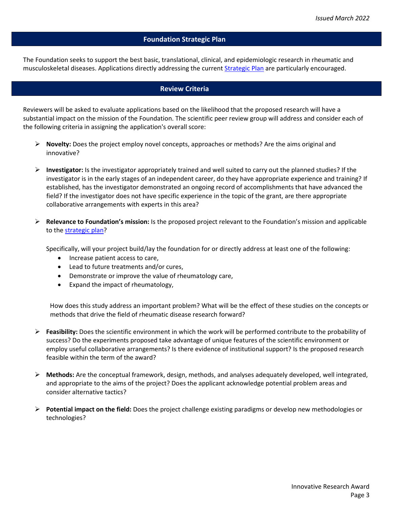### **Foundation Strategic Plan**

The Foundation seeks to support the best basic, translational, clinical, and epidemiologic research in rheumatic and musculoskeletal diseases. Applications directly addressing the current **Strategic Plan** are particularly encouraged.

### **Review Criteria**

Reviewers will be asked to evaluate applications based on the likelihood that the proposed research will have a substantial impact on the mission of the Foundation. The scientific peer review group will address and consider each of the following criteria in assigning the application's overall score:

- **Novelty:** Does the project employ novel concepts, approaches or methods? Are the aims original and innovative?
- **Investigator:** Is the investigator appropriately trained and well suited to carry out the planned studies? If the investigator is in the early stages of an independent career, do they have appropriate experience and training? If established, has the investigator demonstrated an ongoing record of accomplishments that have advanced the field? If the investigator does not have specific experience in the topic of the grant, are there appropriate collaborative arrangements with experts in this area?
- **Relevance to Foundation's mission:** Is the proposed project relevant to the Foundation's mission and applicable to the [strategic](https://www.rheumresearch.org/file/Foundation-Strategic-Plan-2016-2020.pdf) plan?

Specifically, will your project build/lay the foundation for or directly address at least one of the following:

- Increase patient access to care,
- Lead to future treatments and/or cures,
- Demonstrate or improve the value of rheumatology care,
- Expand the impact of rheumatology,

How does this study address an important problem? What will be the effect of these studies on the concepts or methods that drive the field of rheumatic disease research forward?

- **Feasibility:** Does the scientific environment in which the work will be performed contribute to the probability of success? Do the experiments proposed take advantage of unique features of the scientific environment or employ useful collaborative arrangements? Is there evidence of institutional support? Is the proposed research feasible within the term of the award?
- **Methods:** Are the conceptual framework, design, methods, and analyses adequately developed, well integrated, and appropriate to the aims of the project? Does the applicant acknowledge potential problem areas and consider alternative tactics?
- **Potential impact on the field:** Does the project challenge existing paradigms or develop new methodologies or technologies?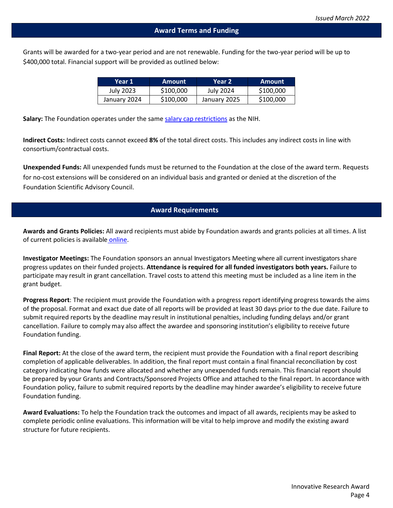Grants will be awarded for a two-year period and are not renewable. Funding for the two-year period will be up to \$400,000 total. Financial support will be provided as outlined below:

| Year 1       | Amount    | Year 2           | Amount    |
|--------------|-----------|------------------|-----------|
| July 2023    | \$100,000 | <b>July 2024</b> | \$100,000 |
| January 2024 | \$100,000 | January 2025     | \$100,000 |

**Salary:** The Foundation operates under the same [salary cap restrictions](https://grants.nih.gov/grants/policy/salcap_summary.htm) as the NIH.

**Indirect Costs:** Indirect costs cannot exceed **8%** of the total direct costs. This includes any indirect costs in line with consortium/contractual costs.

**Unexpended Funds:** All unexpended funds must be returned to the Foundation at the close of the award term. Requests for no-cost extensions will be considered on an individual basis and granted or denied at the discretion of the Foundation Scientific Advisory Council.

### **Award Requirements**

**Awards and Grants Policies:** All award recipients must abide by Foundation awards and grants policies at all times. A list of current policies is available [online.](https://www.rheumresearch.org/file/2022-Awards-Grants-Policies.pdf)

**Investigator Meetings:** The Foundation sponsors an annual Investigators Meeting where all current investigatorsshare progress updates on their funded projects. **Attendance is required for all funded investigators both years.** Failure to participate may result in grant cancellation. Travel costs to attend this meeting must be included as a line item in the grant budget.

**Progress Report**: The recipient must provide the Foundation with a progress report identifying progress towards the aims of the proposal. Format and exact due date of all reports will be provided at least 30 days prior to the due date. Failure to submit required reports by the deadline may result in institutional penalties, including funding delays and/or grant cancellation. Failure to comply may also affect the awardee and sponsoring institution's eligibility to receive future Foundation funding.

**Final Report:** At the close of the award term, the recipient must provide the Foundation with a final report describing completion of applicable deliverables. In addition, the final report must contain a final financial reconciliation by cost category indicating how funds were allocated and whether any unexpended funds remain. This financial report should be prepared by your Grants and Contracts/Sponsored Projects Office and attached to the final report. In accordance with Foundation policy, failure to submit required reports by the deadline may hinder awardee's eligibility to receive future Foundation funding.

**Award Evaluations:** To help the Foundation track the outcomes and impact of all awards, recipients may be asked to complete periodic online evaluations. This information will be vital to help improve and modify the existing award structure for future recipients.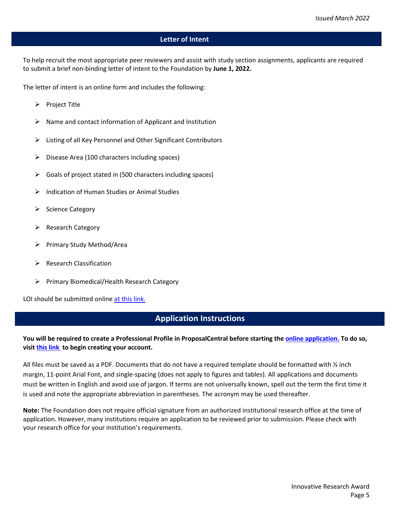### **Letter of Intent**

To help recruit the most appropriate peer reviewers and assist with study section assignments, applicants are required to submit a brief non-binding letter of intent to the Foundation by **June 1, 2022.**

The letter of intent is an online form and includes the following:

- $\triangleright$  Project Title
- $\triangleright$  Name and contact information of Applicant and Institution
- $\triangleright$  Listing of all Key Personnel and Other Significant Contributors
- $\triangleright$  Disease Area (100 characters including spaces)
- $\triangleright$  Goals of project stated in (500 characters including spaces)
- $\triangleright$  Indication of Human Studies or Animal Studies
- $\triangleright$  Science Category
- $\triangleright$  Research Category
- $\triangleright$  Primary Study Method/Area
- $\triangleright$  Research Classification
- Primary Biomedical/Health Research Category

LOI should be submitted online [at this link.](https://proposalcentral.com/) 

# **Application Instructions**

# **You will be required to create a Professional Profile in ProposalCentral before starting the [online application.](https://proposalcentral.com/) To do so, visit [this link](https://proposalcentral.com/register.asp) to begin creating your account.**

All files must be saved as a PDF. Documents that do not have a required template should be formatted with  $\frac{1}{2}$  inch margin, 11-point Arial Font, and single-spacing (does not apply to figures and tables). All applications and documents must be written in English and avoid use of jargon. If terms are not universally known, spell out the term the first time it is used and note the appropriate abbreviation in parentheses. The acronym may be used thereafter.

**Note:** The Foundation does not require official signature from an authorized institutional research office at the time of application. However, many institutions require an application to be reviewed prior to submission. Please check with your research office for your institution's requirements.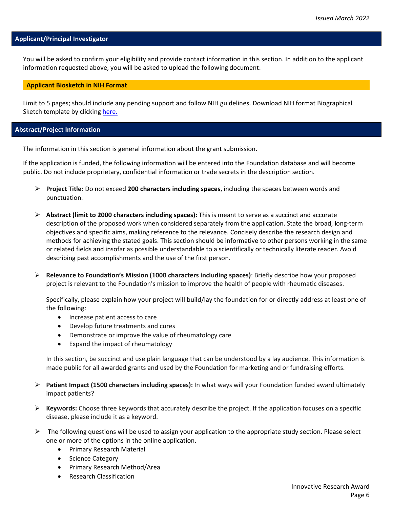### **Applicant/Principal Investigator**

You will be asked to confirm your eligibility and provide contact information in this section. In addition to the applicant information requested above, you will be asked to upload the following document:

#### **Applicant Biosketch in NIH Format**

Limit to 5 pages; should include any pending support and follow NIH guidelines. Download NIH format Biographical Sketch template by clicking [here.](https://grants.nih.gov/grants/forms/biosketch.htm)

#### **Abstract/Project Information**

The information in this section is general information about the grant submission.

If the application is funded, the following information will be entered into the Foundation database and will become public. Do not include proprietary, confidential information or trade secrets in the description section.

- **Project Title:** Do not exceed **200 characters including spaces**, including the spaces between words and punctuation.
- **Abstract (limit to 2000 characters including spaces):** This is meant to serve as a succinct and accurate description of the proposed work when considered separately from the application. State the broad, long-term objectives and specific aims, making reference to the relevance. Concisely describe the research design and methods for achieving the stated goals. This section should be informative to other persons working in the same or related fields and insofar as possible understandable to a scientifically or technically literate reader. Avoid describing past accomplishments and the use of the first person.
- **Relevance to Foundation's Mission (1000 characters including spaces)**: Briefly describe how your proposed project is relevant to the Foundation's mission to improve the health of people with rheumatic diseases.

Specifically, please explain how your project will build/lay the foundation for or directly address at least one of the following:

- Increase patient access to care
- Develop future treatments and cures
- Demonstrate or improve the value of rheumatology care
- Expand the impact of rheumatology

In this section, be succinct and use plain language that can be understood by a lay audience. This information is made public for all awarded grants and used by the Foundation for marketing and or fundraising efforts.

- **Patient Impact (1500 characters including spaces):** In what ways will your Foundation funded award ultimately impact patients?
- **Keywords:** Choose three keywords that accurately describe the project. If the application focuses on a specific disease, please include it as a keyword.
- $\triangleright$  The following questions will be used to assign your application to the appropriate study section. Please select one or more of the options in the online application.
	- Primary Research Material
	- Science Category
	- Primary Research Method/Area
	- Research Classification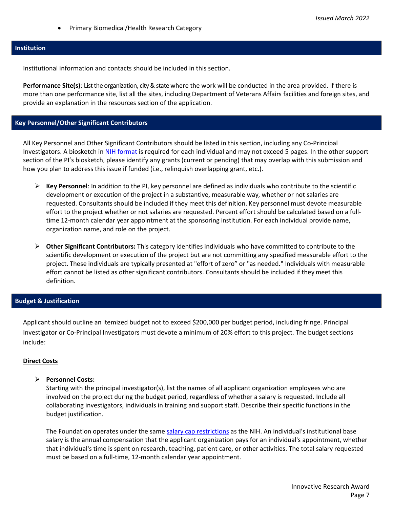• Primary Biomedical/Health Research Category

### **Institution**

Institutional information and contacts should be included in this section.

**Performance Site(s)**: List the organization, city & state where the work will be conducted in the area provided. If there is more than one performance site, list all the sites, including Department of Veterans Affairs facilities and foreign sites, and provide an explanation in the resources section of the application.

# **Key Personnel/Other Significant Contributors**

All Key Personnel and Other Significant Contributors should be listed in this section, including any Co-Principal Investigators. A biosketch in [NIH format](https://grants.nih.gov/grants/forms/biosketch.htm) is required for each individual and may not exceed 5 pages. In the other support section of the PI's biosketch, please identify any grants (current or pending) that may overlap with this submission and how you plan to address this issue if funded (i.e., relinquish overlapping grant, etc.).

- **Key Personnel**: In addition to the PI, key personnel are defined as individuals who contribute to the scientific development or execution of the project in a substantive, measurable way, whether or not salaries are requested. Consultants should be included if they meet this definition. Key personnel must devote measurable effort to the project whether or not salaries are requested. Percent effort should be calculated based on a fulltime 12-month calendar year appointment at the sponsoring institution. For each individual provide name, organization name, and role on the project.
- **Other Significant Contributors:** This category identifies individuals who have committed to contribute to the scientific development or execution of the project but are not committing any specified measurable effort to the project. These individuals are typically presented at "effort of zero" or "as needed." Individuals with measurable effort cannot be listed as other significant contributors. Consultants should be included if they meet this definition.

# **Budget & Justification**

Applicant should outline an itemized budget not to exceed \$200,000 per budget period, including fringe. Principal Investigator or Co-Principal Investigators must devote a minimum of 20% effort to this project. The budget sections include:

# **Direct Costs**

**Personnel Costs:**

Starting with the principal investigator(s), list the names of all applicant organization employees who are involved on the project during the budget period, regardless of whether a salary is requested. Include all collaborating investigators, individuals in training and support staff. Describe their specific functions in the budget justification.

The Foundation operates under the same [salary cap restrictions](https://grants.nih.gov/grants/policy/salcap_summary.htm) as the NIH. An individual's institutional base salary is the annual compensation that the applicant organization pays for an individual's appointment, whether that individual's time is spent on research, teaching, patient care, or other activities. The total salary requested must be based on a full-time, 12-month calendar year appointment.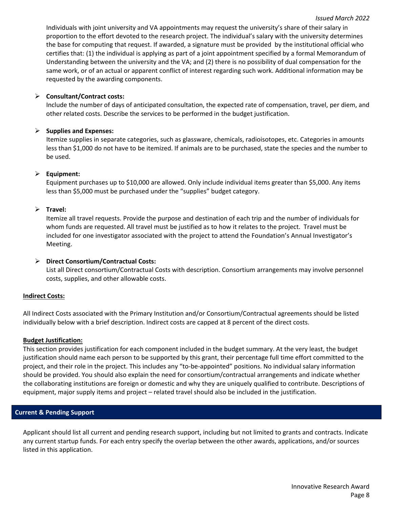Individuals with joint university and VA appointments may request the university's share of their salary in proportion to the effort devoted to the research project. The individual's salary with the university determines the base for computing that request. If awarded, a signature must be provided by the institutional official who certifies that: (1) the individual is applying as part of a joint appointment specified by a formal Memorandum of Understanding between the university and the VA; and (2) there is no possibility of dual compensation for the same work, or of an actual or apparent conflict of interest regarding such work. Additional information may be requested by the awarding components.

### **Consultant/Contract costs:**

Include the number of days of anticipated consultation, the expected rate of compensation, travel, per diem, and other related costs. Describe the services to be performed in the budget justification.

# **Supplies and Expenses:**

Itemize supplies in separate categories, such as glassware, chemicals, radioisotopes, etc. Categories in amounts less than \$1,000 do not have to be itemized. If animals are to be purchased, state the species and the number to be used.

### **Equipment:**

Equipment purchases up to \$10,000 are allowed. Only include individual items greater than \$5,000. Any items less than \$5,000 must be purchased under the "supplies" budget category.

# **Travel:**

Itemize all travel requests. Provide the purpose and destination of each trip and the number of individuals for whom funds are requested. All travel must be justified as to how it relates to the project. Travel must be included for one investigator associated with the project to attend the Foundation's Annual Investigator's Meeting.

# **Direct Consortium/Contractual Costs:**

List all Direct consortium/Contractual Costs with description. Consortium arrangements may involve personnel costs, supplies, and other allowable costs.

### **Indirect Costs:**

All Indirect Costs associated with the Primary Institution and/or Consortium/Contractual agreements should be listed individually below with a brief description. Indirect costs are capped at 8 percent of the direct costs.

### **Budget Justification:**

This section provides justification for each component included in the budget summary. At the very least, the budget justification should name each person to be supported by this grant, their percentage full time effort committed to the project, and their role in the project. This includes any "to-be-appointed" positions. No individual salary information should be provided. You should also explain the need for consortium/contractual arrangements and indicate whether the collaborating institutions are foreign or domestic and why they are uniquely qualified to contribute. Descriptions of equipment, major supply items and project – related travel should also be included in the justification.

# **Current & Pending Support**

Applicant should list all current and pending research support, including but not limited to grants and contracts. Indicate any current startup funds. For each entry specify the overlap between the other awards, applications, and/or sources listed in this application.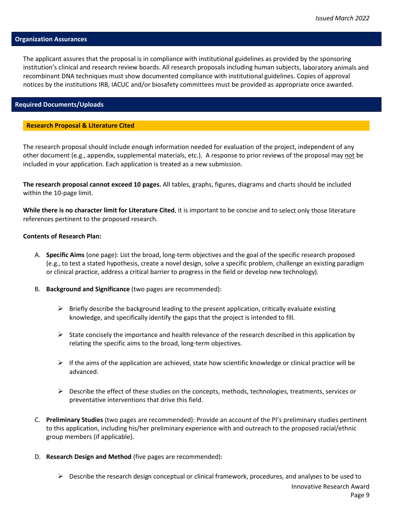#### **Organization Assurances**

The applicant assures that the proposal is in compliance with institutional guidelines as provided by the sponsoring institution's clinical and research review boards. All research proposals including human subjects, laboratory animals and recombinant DNA techniques must show documented compliance with institutional guidelines. Copies of approval notices by the institutions IRB, IACUC and/or biosafety committees must be provided as appropriate once awarded.

#### **Required Documents/Uploads**

#### **Research Proposal & Literature Cited**

The research proposal should include enough information needed for evaluation of the project, independent of any other document (e.g., appendix, supplemental materials, etc.). A response to prior reviews of the proposal may not be included in your application. Each application is treated as a new submission.

**The research proposal cannot exceed 10 pages.** All tables, graphs, figures, diagrams and charts should be included within the 10-page limit.

**While there is no character limit for Literature Cited**, it is important to be concise and to select only those literature references pertinent to the proposed research.

### **Contents of Research Plan:**

- A. **Specific Aims** (one page): List the broad, long-term objectives and the goal of the specific research proposed (e.g., to test a stated hypothesis, create a novel design, solve a specific problem, challenge an existing paradigm or clinical practice, address a critical barrier to progress in the field or develop new technology).
- B. **Background and Significance** (two pages are recommended):
	- $\triangleright$  Briefly describe the background leading to the present application, critically evaluate existing knowledge, and specifically identify the gaps that the project is intended to fill.
	- $\triangleright$  State concisely the importance and health relevance of the research described in this application by relating the specific aims to the broad, long-term objectives.
	- $\triangleright$  If the aims of the application are achieved, state how scientific knowledge or clinical practice will be advanced.
	- $\triangleright$  Describe the effect of these studies on the concepts, methods, technologies, treatments, services or preventative interventions that drive this field.
- C. **Preliminary Studies** (two pages are recommended): Provide an account of the PI's preliminary studies pertinent to this application, including his/her preliminary experience with and outreach to the proposed racial/ethnic group members (if applicable).
- D. **Research Design and Method** (five pages are recommended):
	- Innovative Research Award Page 9  $\triangleright$  Describe the research design conceptual or clinical framework, procedures, and analyses to be used to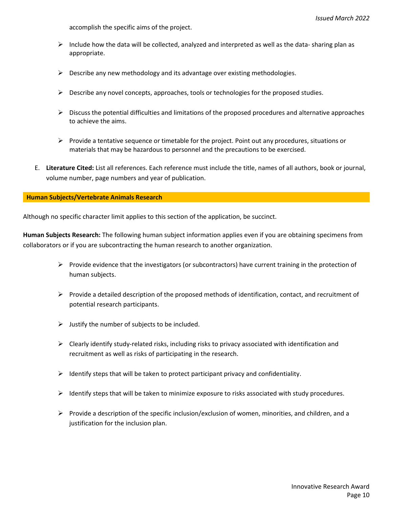accomplish the specific aims of the project.

- $\triangleright$  Include how the data will be collected, analyzed and interpreted as well as the data- sharing plan as appropriate.
- $\triangleright$  Describe any new methodology and its advantage over existing methodologies.
- $\triangleright$  Describe any novel concepts, approaches, tools or technologies for the proposed studies.
- $\triangleright$  Discuss the potential difficulties and limitations of the proposed procedures and alternative approaches to achieve the aims.
- $\triangleright$  Provide a tentative sequence or timetable for the project. Point out any procedures, situations or materials that may be hazardous to personnel and the precautions to be exercised.
- E. **Literature Cited:** List all references. Each reference must include the title, names of all authors, book or journal, volume number, page numbers and year of publication.

### **Human Subjects/Vertebrate Animals Research**

Although no specific character limit applies to this section of the application, be succinct.

**Human Subjects Research:** The following human subject information applies even if you are obtaining specimens from collaborators or if you are subcontracting the human research to another organization.

- $\triangleright$  Provide evidence that the investigators (or subcontractors) have current training in the protection of human subjects.
- $\triangleright$  Provide a detailed description of the proposed methods of identification, contact, and recruitment of potential research participants.
- $\triangleright$  Justify the number of subjects to be included.
- $\triangleright$  Clearly identify study-related risks, including risks to privacy associated with identification and recruitment as well as risks of participating in the research.
- $\triangleright$  Identify steps that will be taken to protect participant privacy and confidentiality.
- $\triangleright$  Identify steps that will be taken to minimize exposure to risks associated with study procedures.
- $\triangleright$  Provide a description of the specific inclusion/exclusion of women, minorities, and children, and a justification for the inclusion plan.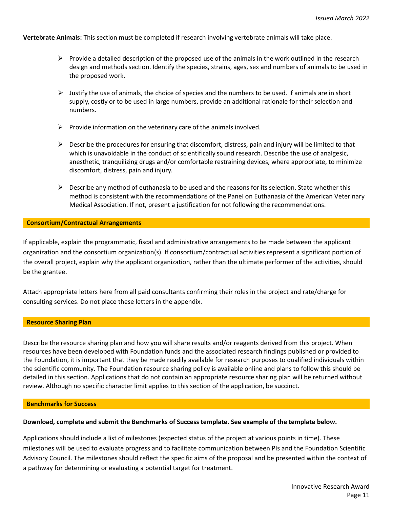**Vertebrate Animals:** This section must be completed if research involving vertebrate animals will take place.

- $\triangleright$  Provide a detailed description of the proposed use of the animals in the work outlined in the research design and methods section. Identify the species, strains, ages, sex and numbers of animals to be used in the proposed work.
- $\triangleright$  Justify the use of animals, the choice of species and the numbers to be used. If animals are in short supply, costly or to be used in large numbers, provide an additional rationale for their selection and numbers.
- $\triangleright$  Provide information on the veterinary care of the animals involved.
- $\triangleright$  Describe the procedures for ensuring that discomfort, distress, pain and injury will be limited to that which is unavoidable in the conduct of scientifically sound research. Describe the use of analgesic, anesthetic, tranquilizing drugs and/or comfortable restraining devices, where appropriate, to minimize discomfort, distress, pain and injury.
- $\triangleright$  Describe any method of euthanasia to be used and the reasons for its selection. State whether this method is consistent with the recommendations of the Panel on Euthanasia of the American Veterinary Medical Association. If not, present a justification for not following the recommendations.

#### **Consortium/Contractual Arrangements**

If applicable, explain the programmatic, fiscal and administrative arrangements to be made between the applicant organization and the consortium organization(s). If consortium/contractual activities represent a significant portion of the overall project, explain why the applicant organization, rather than the ultimate performer of the activities, should be the grantee.

Attach appropriate letters here from all paid consultants confirming their roles in the project and rate/charge for consulting services. Do not place these letters in the appendix.

#### **Resource Sharing Plan**

Describe the resource sharing plan and how you will share results and/or reagents derived from this project. When resources have been developed with Foundation funds and the associated research findings published or provided to the Foundation, it is important that they be made readily available for research purposes to qualified individuals within the scientific community. The Foundation resource sharing policy is available online and plans to follow this should be detailed in this section. Applications that do not contain an appropriate resource sharing plan will be returned without review. Although no specific character limit applies to this section of the application, be succinct.

#### **Benchmarks for Success**

### **Download, complete and submit the Benchmarks of Success template. See example of the template below.**

Applications should include a list of milestones (expected status of the project at various points in time). These milestones will be used to evaluate progress and to facilitate communication between PIs and the Foundation Scientific Advisory Council. The milestones should reflect the specific aims of the proposal and be presented within the context of a pathway for determining or evaluating a potential target for treatment.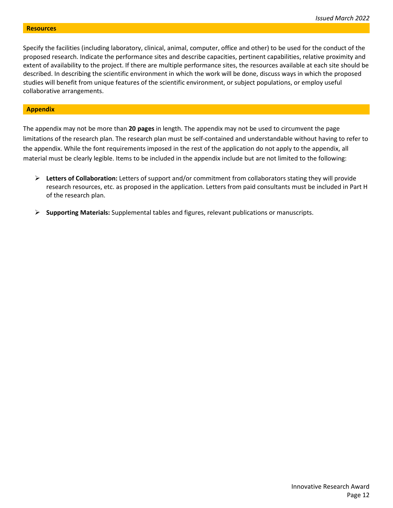Specify the facilities (including laboratory, clinical, animal, computer, office and other) to be used for the conduct of the proposed research. Indicate the performance sites and describe capacities, pertinent capabilities, relative proximity and extent of availability to the project. If there are multiple performance sites, the resources available at each site should be described. In describing the scientific environment in which the work will be done, discuss ways in which the proposed studies will benefit from unique features of the scientific environment, or subject populations, or employ useful collaborative arrangements.

#### **Appendix**

The appendix may not be more than **20 pages** in length. The appendix may not be used to circumvent the page limitations of the research plan. The research plan must be self-contained and understandable without having to refer to the appendix. While the font requirements imposed in the rest of the application do not apply to the appendix, all material must be clearly legible. Items to be included in the appendix include but are not limited to the following:

- **Letters of Collaboration:** Letters of support and/or commitment from collaborators stating they will provide research resources, etc. as proposed in the application. Letters from paid consultants must be included in Part H of the research plan.
- **Supporting Materials:** Supplemental tables and figures, relevant publications or manuscripts.